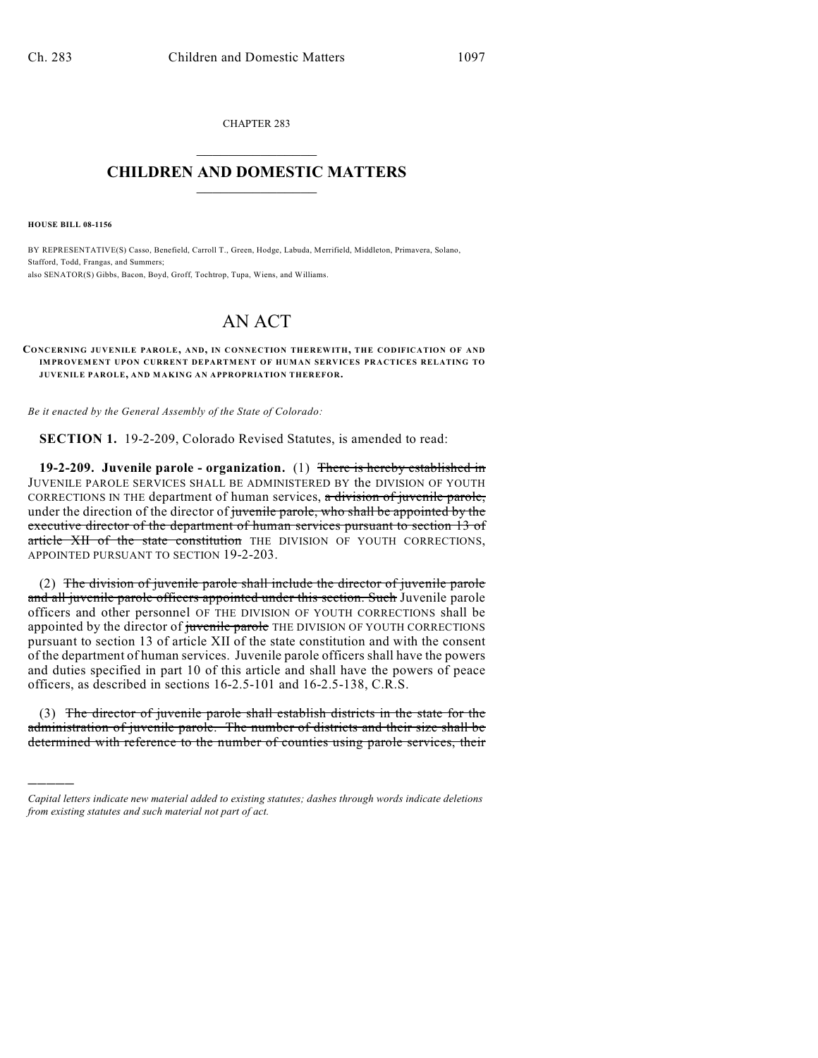CHAPTER 283  $\overline{\phantom{a}}$  . The set of the set of the set of the set of the set of the set of the set of the set of the set of the set of the set of the set of the set of the set of the set of the set of the set of the set of the set o

## **CHILDREN AND DOMESTIC MATTERS**  $\_$

**HOUSE BILL 08-1156**

)))))

BY REPRESENTATIVE(S) Casso, Benefield, Carroll T., Green, Hodge, Labuda, Merrifield, Middleton, Primavera, Solano, Stafford, Todd, Frangas, and Summers; also SENATOR(S) Gibbs, Bacon, Boyd, Groff, Tochtrop, Tupa, Wiens, and Williams.

## AN ACT

## **CONCERNING JUVENILE PAROLE, AND, IN CONNECTION THEREWITH, THE CODIFICATION OF AND IMPROVEMENT UPON CURRENT DEPARTMENT OF HUMAN SERVICES PRACTICES RELATING TO JUVENILE PAROLE, AND MAKING AN APPROPRIATION THEREFOR.**

*Be it enacted by the General Assembly of the State of Colorado:*

**SECTION 1.** 19-2-209, Colorado Revised Statutes, is amended to read:

**19-2-209. Juvenile parole - organization.** (1) There is hereby established in JUVENILE PAROLE SERVICES SHALL BE ADMINISTERED BY the DIVISION OF YOUTH CORRECTIONS IN THE department of human services, a division of juvenile parole, under the direction of the director of juvenile parole, who shall be appointed by the executive director of the department of human services pursuant to section 13 of article XII of the state constitution THE DIVISION OF YOUTH CORRECTIONS, APPOINTED PURSUANT TO SECTION 19-2-203.

(2) The division of juvenile parole shall include the director of juvenile parole and all juvenile parole officers appointed under this section. Such Juvenile parole officers and other personnel OF THE DIVISION OF YOUTH CORRECTIONS shall be appointed by the director of juvenile parole THE DIVISION OF YOUTH CORRECTIONS pursuant to section 13 of article XII of the state constitution and with the consent of the department of human services. Juvenile parole officers shall have the powers and duties specified in part 10 of this article and shall have the powers of peace officers, as described in sections 16-2.5-101 and 16-2.5-138, C.R.S.

(3) The director of juvenile parole shall establish districts in the state for the administration of juvenile parole. The number of districts and their size shall be determined with reference to the number of counties using parole services, their

*Capital letters indicate new material added to existing statutes; dashes through words indicate deletions from existing statutes and such material not part of act.*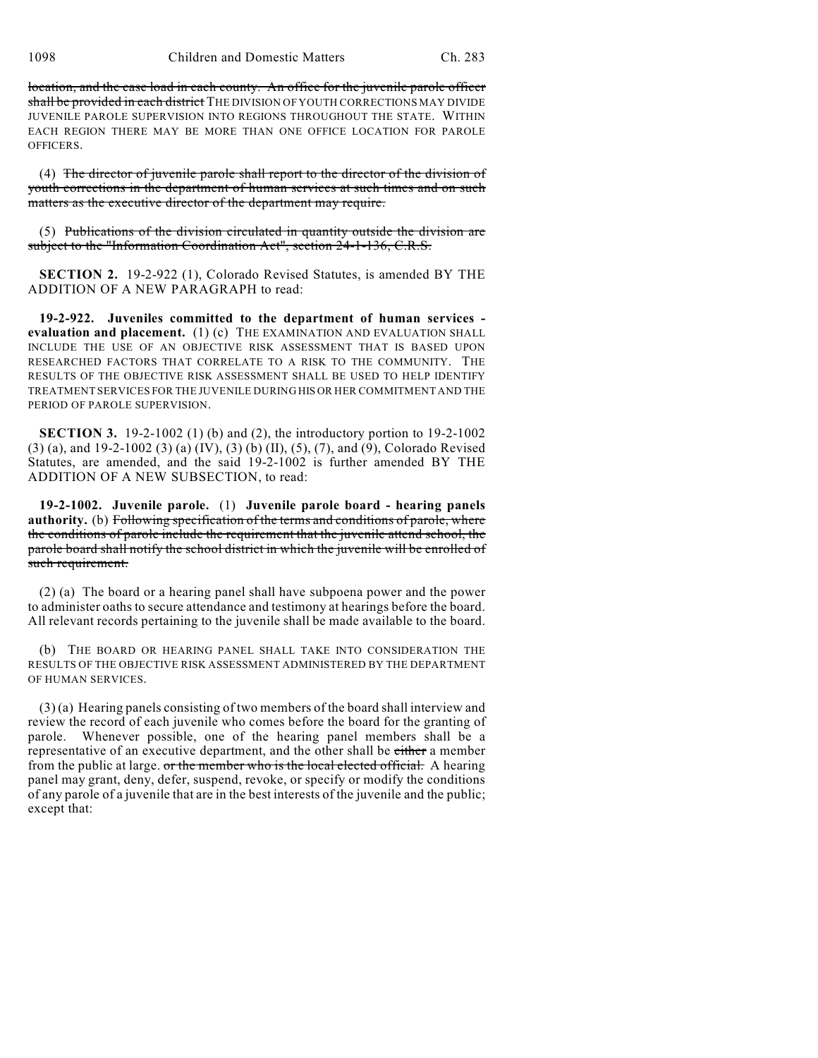1098 Children and Domestic Matters Ch. 283

location, and the case load in each county. An office for the juvenile parole officer shall be provided in each district THE DIVISION OF YOUTH CORRECTIONS MAY DIVIDE JUVENILE PAROLE SUPERVISION INTO REGIONS THROUGHOUT THE STATE. WITHIN EACH REGION THERE MAY BE MORE THAN ONE OFFICE LOCATION FOR PAROLE OFFICERS.

(4) The director of juvenile parole shall report to the director of the division of youth corrections in the department of human services at such times and on such matters as the executive director of the department may require.

(5) Publications of the division circulated in quantity outside the division are subject to the "Information Coordination Act", section 24-1-136, C.R.S.

**SECTION 2.** 19-2-922 (1), Colorado Revised Statutes, is amended BY THE ADDITION OF A NEW PARAGRAPH to read:

**19-2-922. Juveniles committed to the department of human services evaluation and placement.** (1) (c) THE EXAMINATION AND EVALUATION SHALL INCLUDE THE USE OF AN OBJECTIVE RISK ASSESSMENT THAT IS BASED UPON RESEARCHED FACTORS THAT CORRELATE TO A RISK TO THE COMMUNITY. THE RESULTS OF THE OBJECTIVE RISK ASSESSMENT SHALL BE USED TO HELP IDENTIFY TREATMENT SERVICES FOR THE JUVENILE DURING HIS OR HER COMMITMENT AND THE PERIOD OF PAROLE SUPERVISION.

**SECTION 3.** 19-2-1002 (1) (b) and (2), the introductory portion to 19-2-1002 (3) (a), and 19-2-1002 (3) (a) (IV), (3) (b) (II), (5), (7), and (9), Colorado Revised Statutes, are amended, and the said 19-2-1002 is further amended BY THE ADDITION OF A NEW SUBSECTION, to read:

**19-2-1002. Juvenile parole.** (1) **Juvenile parole board - hearing panels authority.** (b) Following specification of the terms and conditions of parole, where the conditions of parole include the requirement that the juvenile attend school, the parole board shall notify the school district in which the juvenile will be enrolled of such requirement.

(2) (a) The board or a hearing panel shall have subpoena power and the power to administer oaths to secure attendance and testimony at hearings before the board. All relevant records pertaining to the juvenile shall be made available to the board.

(b) THE BOARD OR HEARING PANEL SHALL TAKE INTO CONSIDERATION THE RESULTS OF THE OBJECTIVE RISK ASSESSMENT ADMINISTERED BY THE DEPARTMENT OF HUMAN SERVICES.

(3) (a) Hearing panels consisting of two members of the board shall interview and review the record of each juvenile who comes before the board for the granting of parole. Whenever possible, one of the hearing panel members shall be a representative of an executive department, and the other shall be either a member from the public at large. or the member who is the local elected official. A hearing panel may grant, deny, defer, suspend, revoke, or specify or modify the conditions of any parole of a juvenile that are in the best interests of the juvenile and the public; except that: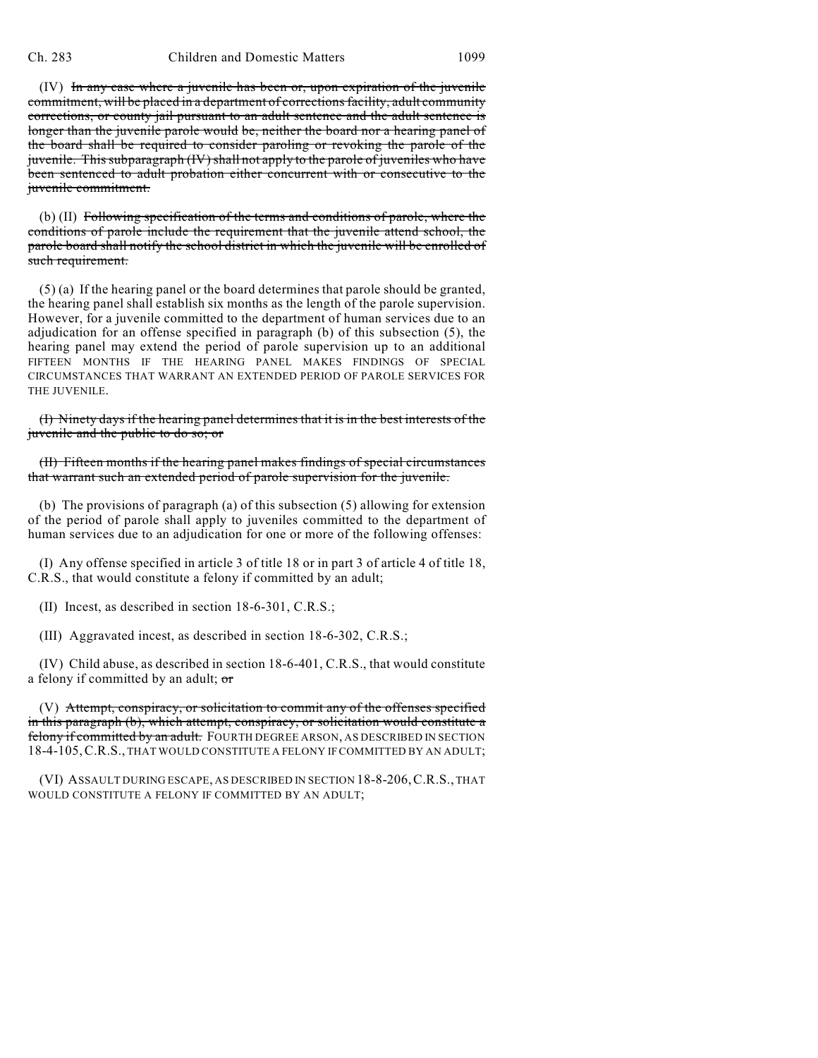(IV) In any case where a juvenile has been or, upon expiration of the juvenile commitment, will be placed in a department of corrections facility, adult community corrections, or county jail pursuant to an adult sentence and the adult sentence is longer than the juvenile parole would be, neither the board nor a hearing panel of the board shall be required to consider paroling or revoking the parole of the juvenile. This subparagraph (IV) shall not apply to the parole of juveniles who have been sentenced to adult probation either concurrent with or consecutive to the juvenile commitment.

(b) (II) Following specification of the terms and conditions of parole, where the conditions of parole include the requirement that the juvenile attend school, the parole board shall notify the school district in which the juvenile will be enrolled of such requirement.

(5) (a) If the hearing panel or the board determines that parole should be granted, the hearing panel shall establish six months as the length of the parole supervision. However, for a juvenile committed to the department of human services due to an adjudication for an offense specified in paragraph (b) of this subsection (5), the hearing panel may extend the period of parole supervision up to an additional FIFTEEN MONTHS IF THE HEARING PANEL MAKES FINDINGS OF SPECIAL CIRCUMSTANCES THAT WARRANT AN EXTENDED PERIOD OF PAROLE SERVICES FOR THE JUVENILE.

(I) Ninety days if the hearing panel determines that it is in the best interests of the juvenile and the public to do so; or

(II) Fifteen months if the hearing panel makes findings of special circumstances that warrant such an extended period of parole supervision for the juvenile.

(b) The provisions of paragraph (a) of this subsection (5) allowing for extension of the period of parole shall apply to juveniles committed to the department of human services due to an adjudication for one or more of the following offenses:

(I) Any offense specified in article 3 of title 18 or in part 3 of article 4 of title 18, C.R.S., that would constitute a felony if committed by an adult;

(II) Incest, as described in section 18-6-301, C.R.S.;

(III) Aggravated incest, as described in section 18-6-302, C.R.S.;

(IV) Child abuse, as described in section 18-6-401, C.R.S., that would constitute a felony if committed by an adult; or

(V) Attempt, conspiracy, or solicitation to commit any of the offenses specified in this paragraph (b), which attempt, conspiracy, or solicitation would constitute a felony if committed by an adult. FOURTH DEGREE ARSON, AS DESCRIBED IN SECTION 18-4-105,C.R.S., THAT WOULD CONSTITUTE A FELONY IF COMMITTED BY AN ADULT;

(VI) ASSAULT DURING ESCAPE, AS DESCRIBED IN SECTION 18-8-206,C.R.S., THAT WOULD CONSTITUTE A FELONY IF COMMITTED BY AN ADULT;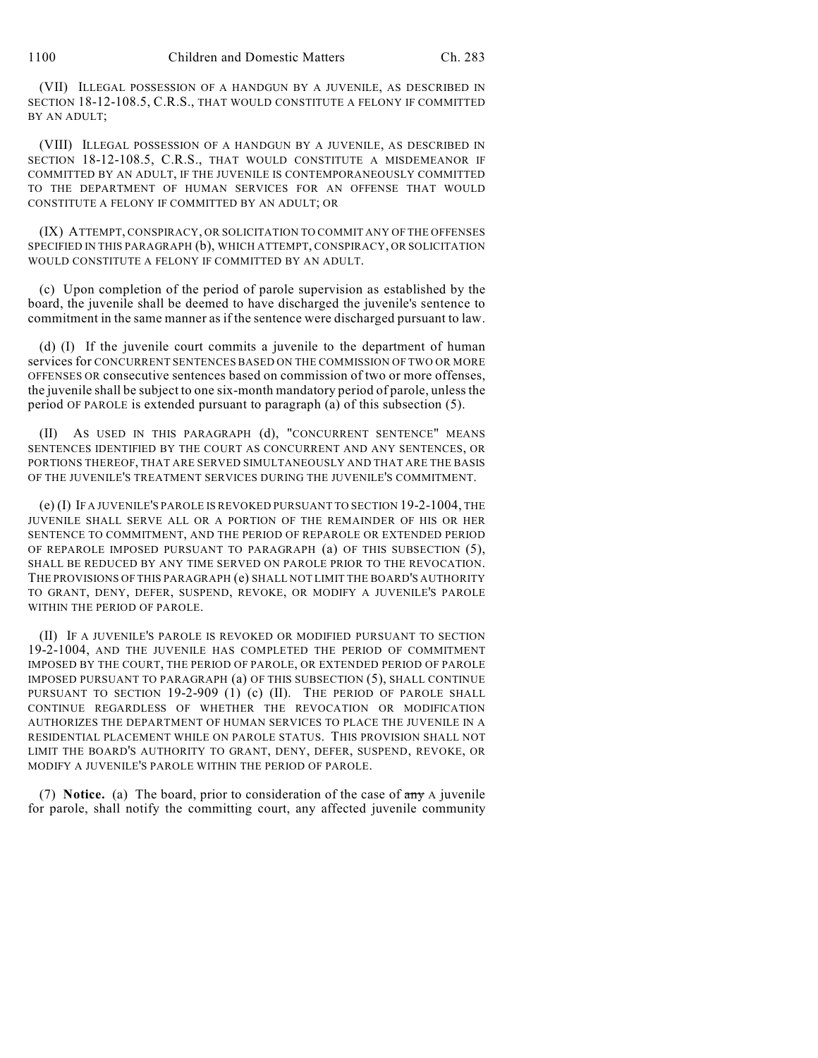(VII) ILLEGAL POSSESSION OF A HANDGUN BY A JUVENILE, AS DESCRIBED IN SECTION 18-12-108.5, C.R.S., THAT WOULD CONSTITUTE A FELONY IF COMMITTED BY AN ADULT;

(VIII) ILLEGAL POSSESSION OF A HANDGUN BY A JUVENILE, AS DESCRIBED IN SECTION 18-12-108.5, C.R.S., THAT WOULD CONSTITUTE A MISDEMEANOR IF COMMITTED BY AN ADULT, IF THE JUVENILE IS CONTEMPORANEOUSLY COMMITTED TO THE DEPARTMENT OF HUMAN SERVICES FOR AN OFFENSE THAT WOULD CONSTITUTE A FELONY IF COMMITTED BY AN ADULT; OR

(IX) ATTEMPT, CONSPIRACY, OR SOLICITATION TO COMMIT ANY OF THE OFFENSES SPECIFIED IN THIS PARAGRAPH (b), WHICH ATTEMPT, CONSPIRACY, OR SOLICITATION WOULD CONSTITUTE A FELONY IF COMMITTED BY AN ADULT.

(c) Upon completion of the period of parole supervision as established by the board, the juvenile shall be deemed to have discharged the juvenile's sentence to commitment in the same manner as if the sentence were discharged pursuant to law.

(d) (I) If the juvenile court commits a juvenile to the department of human services for CONCURRENT SENTENCES BASED ON THE COMMISSION OF TWO OR MORE OFFENSES OR consecutive sentences based on commission of two or more offenses, the juvenile shall be subject to one six-month mandatory period of parole, unless the period OF PAROLE is extended pursuant to paragraph (a) of this subsection (5).

(II) AS USED IN THIS PARAGRAPH (d), "CONCURRENT SENTENCE" MEANS SENTENCES IDENTIFIED BY THE COURT AS CONCURRENT AND ANY SENTENCES, OR PORTIONS THEREOF, THAT ARE SERVED SIMULTANEOUSLY AND THAT ARE THE BASIS OF THE JUVENILE'S TREATMENT SERVICES DURING THE JUVENILE'S COMMITMENT.

(e) (I) IF A JUVENILE'S PAROLE IS REVOKED PURSUANT TO SECTION 19-2-1004, THE JUVENILE SHALL SERVE ALL OR A PORTION OF THE REMAINDER OF HIS OR HER SENTENCE TO COMMITMENT, AND THE PERIOD OF REPAROLE OR EXTENDED PERIOD OF REPAROLE IMPOSED PURSUANT TO PARAGRAPH (a) OF THIS SUBSECTION (5), SHALL BE REDUCED BY ANY TIME SERVED ON PAROLE PRIOR TO THE REVOCATION. THE PROVISIONS OF THIS PARAGRAPH (e) SHALL NOT LIMIT THE BOARD'S AUTHORITY TO GRANT, DENY, DEFER, SUSPEND, REVOKE, OR MODIFY A JUVENILE'S PAROLE WITHIN THE PERIOD OF PAROLE.

(II) IF A JUVENILE'S PAROLE IS REVOKED OR MODIFIED PURSUANT TO SECTION 19-2-1004, AND THE JUVENILE HAS COMPLETED THE PERIOD OF COMMITMENT IMPOSED BY THE COURT, THE PERIOD OF PAROLE, OR EXTENDED PERIOD OF PAROLE IMPOSED PURSUANT TO PARAGRAPH (a) OF THIS SUBSECTION (5), SHALL CONTINUE PURSUANT TO SECTION 19-2-909 (1) (c) (II). THE PERIOD OF PAROLE SHALL CONTINUE REGARDLESS OF WHETHER THE REVOCATION OR MODIFICATION AUTHORIZES THE DEPARTMENT OF HUMAN SERVICES TO PLACE THE JUVENILE IN A RESIDENTIAL PLACEMENT WHILE ON PAROLE STATUS. THIS PROVISION SHALL NOT LIMIT THE BOARD'S AUTHORITY TO GRANT, DENY, DEFER, SUSPEND, REVOKE, OR MODIFY A JUVENILE'S PAROLE WITHIN THE PERIOD OF PAROLE.

(7) **Notice.** (a) The board, prior to consideration of the case of any A juvenile for parole, shall notify the committing court, any affected juvenile community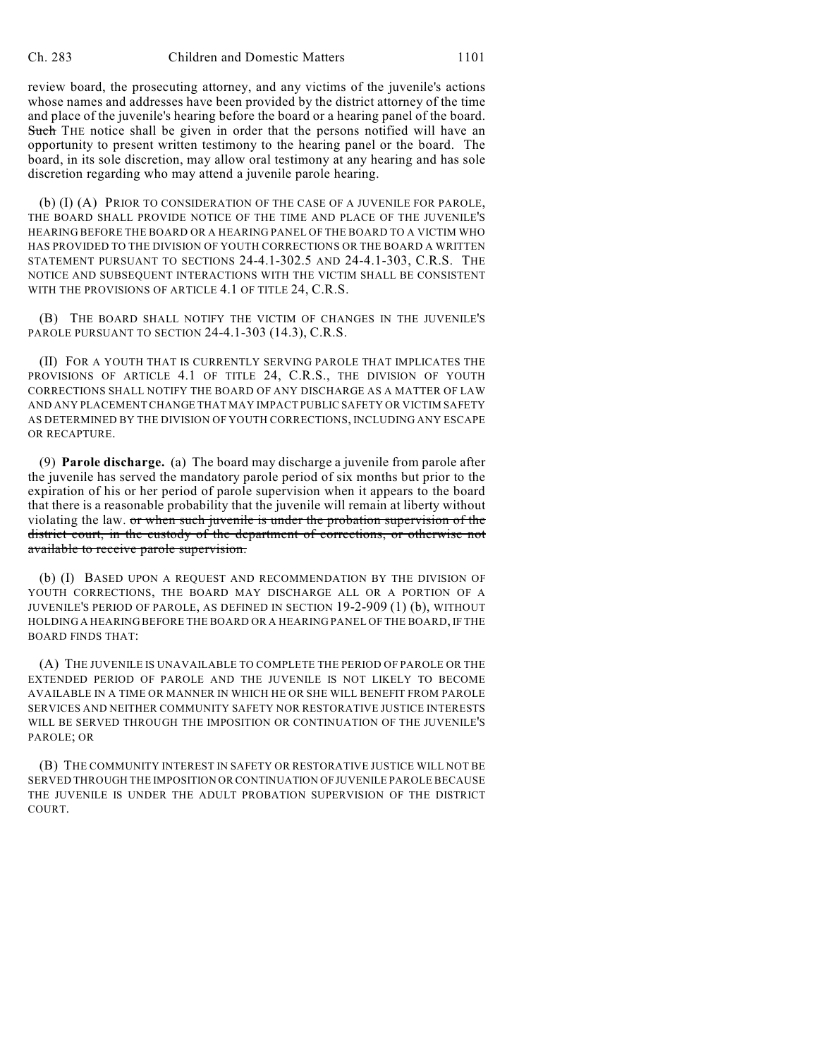review board, the prosecuting attorney, and any victims of the juvenile's actions whose names and addresses have been provided by the district attorney of the time and place of the juvenile's hearing before the board or a hearing panel of the board. Such THE notice shall be given in order that the persons notified will have an opportunity to present written testimony to the hearing panel or the board. The board, in its sole discretion, may allow oral testimony at any hearing and has sole discretion regarding who may attend a juvenile parole hearing.

(b) (I) (A) PRIOR TO CONSIDERATION OF THE CASE OF A JUVENILE FOR PAROLE, THE BOARD SHALL PROVIDE NOTICE OF THE TIME AND PLACE OF THE JUVENILE'S HEARING BEFORE THE BOARD OR A HEARING PANEL OF THE BOARD TO A VICTIM WHO HAS PROVIDED TO THE DIVISION OF YOUTH CORRECTIONS OR THE BOARD A WRITTEN STATEMENT PURSUANT TO SECTIONS 24-4.1-302.5 AND 24-4.1-303, C.R.S. THE NOTICE AND SUBSEQUENT INTERACTIONS WITH THE VICTIM SHALL BE CONSISTENT WITH THE PROVISIONS OF ARTICLE 4.1 OF TITLE 24, C.R.S.

(B) THE BOARD SHALL NOTIFY THE VICTIM OF CHANGES IN THE JUVENILE'S PAROLE PURSUANT TO SECTION 24-4.1-303 (14.3), C.R.S.

(II) FOR A YOUTH THAT IS CURRENTLY SERVING PAROLE THAT IMPLICATES THE PROVISIONS OF ARTICLE 4.1 OF TITLE 24, C.R.S., THE DIVISION OF YOUTH CORRECTIONS SHALL NOTIFY THE BOARD OF ANY DISCHARGE AS A MATTER OF LAW AND ANY PLACEMENT CHANGE THAT MAY IMPACT PUBLIC SAFETY OR VICTIM SAFETY AS DETERMINED BY THE DIVISION OF YOUTH CORRECTIONS, INCLUDING ANY ESCAPE OR RECAPTURE.

(9) **Parole discharge.** (a) The board may discharge a juvenile from parole after the juvenile has served the mandatory parole period of six months but prior to the expiration of his or her period of parole supervision when it appears to the board that there is a reasonable probability that the juvenile will remain at liberty without violating the law. or when such juvenile is under the probation supervision of the district court, in the custody of the department of corrections, or otherwise not available to receive parole supervision.

(b) (I) BASED UPON A REQUEST AND RECOMMENDATION BY THE DIVISION OF YOUTH CORRECTIONS, THE BOARD MAY DISCHARGE ALL OR A PORTION OF A JUVENILE'S PERIOD OF PAROLE, AS DEFINED IN SECTION 19-2-909 (1) (b), WITHOUT HOLDING A HEARING BEFORE THE BOARD OR A HEARING PANEL OF THE BOARD, IF THE BOARD FINDS THAT:

(A) THE JUVENILE IS UNAVAILABLE TO COMPLETE THE PERIOD OF PAROLE OR THE EXTENDED PERIOD OF PAROLE AND THE JUVENILE IS NOT LIKELY TO BECOME AVAILABLE IN A TIME OR MANNER IN WHICH HE OR SHE WILL BENEFIT FROM PAROLE SERVICES AND NEITHER COMMUNITY SAFETY NOR RESTORATIVE JUSTICE INTERESTS WILL BE SERVED THROUGH THE IMPOSITION OR CONTINUATION OF THE JUVENILE'S PAROLE; OR

(B) THE COMMUNITY INTEREST IN SAFETY OR RESTORATIVE JUSTICE WILL NOT BE SERVED THROUGH THE IMPOSITION OR CONTINUATION OF JUVENILE PAROLE BECAUSE THE JUVENILE IS UNDER THE ADULT PROBATION SUPERVISION OF THE DISTRICT COURT.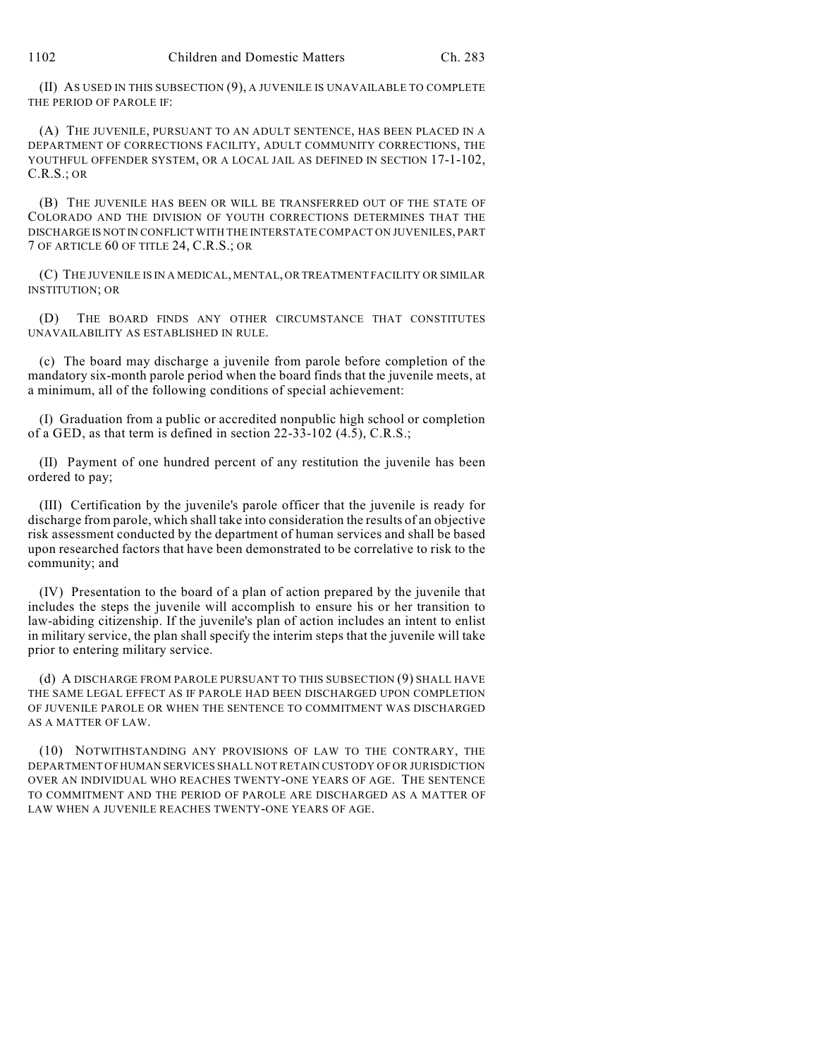(II) AS USED IN THIS SUBSECTION (9), A JUVENILE IS UNAVAILABLE TO COMPLETE THE PERIOD OF PAROLE IF:

(A) THE JUVENILE, PURSUANT TO AN ADULT SENTENCE, HAS BEEN PLACED IN A DEPARTMENT OF CORRECTIONS FACILITY, ADULT COMMUNITY CORRECTIONS, THE YOUTHFUL OFFENDER SYSTEM, OR A LOCAL JAIL AS DEFINED IN SECTION 17-1-102, C.R.S.; OR

(B) THE JUVENILE HAS BEEN OR WILL BE TRANSFERRED OUT OF THE STATE OF COLORADO AND THE DIVISION OF YOUTH CORRECTIONS DETERMINES THAT THE DISCHARGE IS NOT IN CONFLICT WITH THE INTERSTATE COMPACT ON JUVENILES, PART 7 OF ARTICLE 60 OF TITLE 24, C.R.S.; OR

(C) THE JUVENILE IS IN A MEDICAL, MENTAL, OR TREATMENT FACILITY OR SIMILAR INSTITUTION; OR

(D) THE BOARD FINDS ANY OTHER CIRCUMSTANCE THAT CONSTITUTES UNAVAILABILITY AS ESTABLISHED IN RULE.

(c) The board may discharge a juvenile from parole before completion of the mandatory six-month parole period when the board finds that the juvenile meets, at a minimum, all of the following conditions of special achievement:

(I) Graduation from a public or accredited nonpublic high school or completion of a GED, as that term is defined in section 22-33-102 (4.5), C.R.S.;

(II) Payment of one hundred percent of any restitution the juvenile has been ordered to pay;

(III) Certification by the juvenile's parole officer that the juvenile is ready for discharge from parole, which shall take into consideration the results of an objective risk assessment conducted by the department of human services and shall be based upon researched factors that have been demonstrated to be correlative to risk to the community; and

(IV) Presentation to the board of a plan of action prepared by the juvenile that includes the steps the juvenile will accomplish to ensure his or her transition to law-abiding citizenship. If the juvenile's plan of action includes an intent to enlist in military service, the plan shall specify the interim steps that the juvenile will take prior to entering military service.

(d) A DISCHARGE FROM PAROLE PURSUANT TO THIS SUBSECTION (9) SHALL HAVE THE SAME LEGAL EFFECT AS IF PAROLE HAD BEEN DISCHARGED UPON COMPLETION OF JUVENILE PAROLE OR WHEN THE SENTENCE TO COMMITMENT WAS DISCHARGED AS A MATTER OF LAW.

(10) NOTWITHSTANDING ANY PROVISIONS OF LAW TO THE CONTRARY, THE DEPARTMENT OF HUMAN SERVICES SHALL NOT RETAIN CUSTODY OF OR JURISDICTION OVER AN INDIVIDUAL WHO REACHES TWENTY-ONE YEARS OF AGE. THE SENTENCE TO COMMITMENT AND THE PERIOD OF PAROLE ARE DISCHARGED AS A MATTER OF LAW WHEN A JUVENILE REACHES TWENTY-ONE YEARS OF AGE.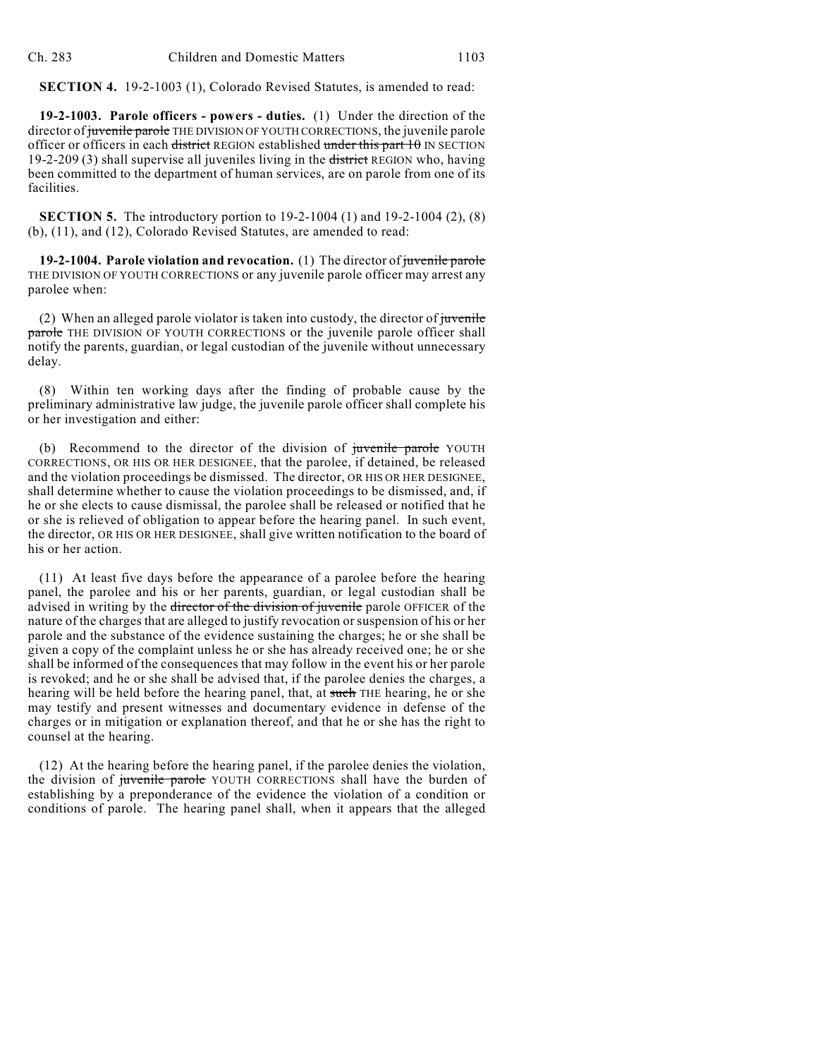**SECTION 4.** 19-2-1003 (1), Colorado Revised Statutes, is amended to read:

**19-2-1003. Parole officers - powers - duties.** (1) Under the direction of the director of juvenile parole THE DIVISION OF YOUTH CORRECTIONS, the juvenile parole officer or officers in each district REGION established under this part 10 IN SECTION 19-2-209 (3) shall supervise all juveniles living in the district REGION who, having been committed to the department of human services, are on parole from one of its facilities.

**SECTION 5.** The introductory portion to 19-2-1004 (1) and 19-2-1004 (2), (8) (b), (11), and (12), Colorado Revised Statutes, are amended to read:

**19-2-1004. Parole violation and revocation.** (1) The director of juvenile parole THE DIVISION OF YOUTH CORRECTIONS or any juvenile parole officer may arrest any parolee when:

(2) When an alleged parole violator is taken into custody, the director of juvenile parole THE DIVISION OF YOUTH CORRECTIONS or the juvenile parole officer shall notify the parents, guardian, or legal custodian of the juvenile without unnecessary delay.

(8) Within ten working days after the finding of probable cause by the preliminary administrative law judge, the juvenile parole officer shall complete his or her investigation and either:

(b) Recommend to the director of the division of juvenile parole YOUTH CORRECTIONS, OR HIS OR HER DESIGNEE, that the parolee, if detained, be released and the violation proceedings be dismissed. The director, OR HIS OR HER DESIGNEE, shall determine whether to cause the violation proceedings to be dismissed, and, if he or she elects to cause dismissal, the parolee shall be released or notified that he or she is relieved of obligation to appear before the hearing panel. In such event, the director, OR HIS OR HER DESIGNEE, shall give written notification to the board of his or her action.

(11) At least five days before the appearance of a parolee before the hearing panel, the parolee and his or her parents, guardian, or legal custodian shall be advised in writing by the <del>director of the division of juvenile</del> parole OFFICER of the nature of the charges that are alleged to justify revocation orsuspension of his or her parole and the substance of the evidence sustaining the charges; he or she shall be given a copy of the complaint unless he or she has already received one; he or she shall be informed of the consequences that may follow in the event his or her parole is revoked; and he or she shall be advised that, if the parolee denies the charges, a hearing will be held before the hearing panel, that, at such THE hearing, he or she may testify and present witnesses and documentary evidence in defense of the charges or in mitigation or explanation thereof, and that he or she has the right to counsel at the hearing.

(12) At the hearing before the hearing panel, if the parolee denies the violation, the division of juvenile parole YOUTH CORRECTIONS shall have the burden of establishing by a preponderance of the evidence the violation of a condition or conditions of parole. The hearing panel shall, when it appears that the alleged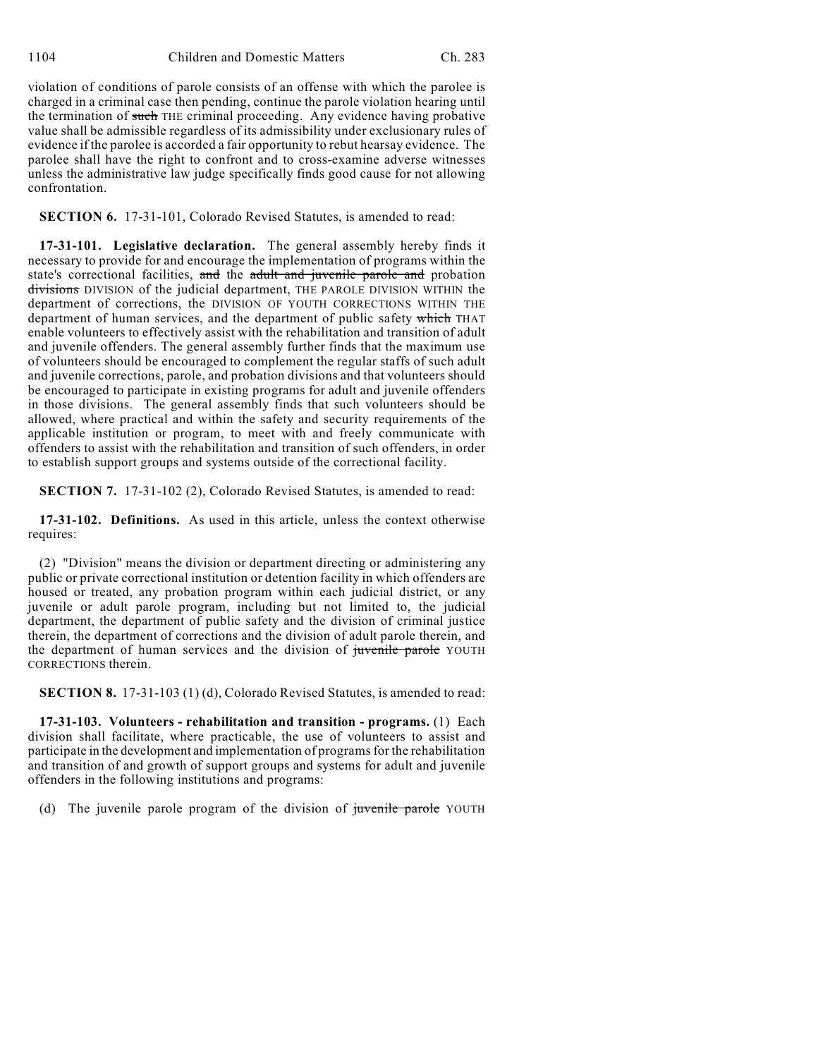violation of conditions of parole consists of an offense with which the parolee is charged in a criminal case then pending, continue the parole violation hearing until the termination of such THE criminal proceeding. Any evidence having probative value shall be admissible regardless of its admissibility under exclusionary rules of evidence if the parolee is accorded a fair opportunity to rebut hearsay evidence. The parolee shall have the right to confront and to cross-examine adverse witnesses unless the administrative law judge specifically finds good cause for not allowing confrontation.

## **SECTION 6.** 17-31-101, Colorado Revised Statutes, is amended to read:

**17-31-101. Legislative declaration.** The general assembly hereby finds it necessary to provide for and encourage the implementation of programs within the state's correctional facilities, and the adult and juvenile parole and probation divisions DIVISION of the judicial department, THE PAROLE DIVISION WITHIN the department of corrections, the DIVISION OF YOUTH CORRECTIONS WITHIN THE department of human services, and the department of public safety which THAT enable volunteers to effectively assist with the rehabilitation and transition of adult and juvenile offenders. The general assembly further finds that the maximum use of volunteers should be encouraged to complement the regular staffs of such adult and juvenile corrections, parole, and probation divisions and that volunteers should be encouraged to participate in existing programs for adult and juvenile offenders in those divisions. The general assembly finds that such volunteers should be allowed, where practical and within the safety and security requirements of the applicable institution or program, to meet with and freely communicate with offenders to assist with the rehabilitation and transition of such offenders, in order to establish support groups and systems outside of the correctional facility.

**SECTION 7.** 17-31-102 (2), Colorado Revised Statutes, is amended to read:

**17-31-102. Definitions.** As used in this article, unless the context otherwise requires:

(2) "Division" means the division or department directing or administering any public or private correctional institution or detention facility in which offenders are housed or treated, any probation program within each judicial district, or any juvenile or adult parole program, including but not limited to, the judicial department, the department of public safety and the division of criminal justice therein, the department of corrections and the division of adult parole therein, and the department of human services and the division of juvenile parole YOUTH CORRECTIONS therein.

**SECTION 8.** 17-31-103 (1) (d), Colorado Revised Statutes, is amended to read:

**17-31-103. Volunteers - rehabilitation and transition - programs.** (1) Each division shall facilitate, where practicable, the use of volunteers to assist and participate in the development and implementation of programs for the rehabilitation and transition of and growth of support groups and systems for adult and juvenile offenders in the following institutions and programs:

(d) The juvenile parole program of the division of juvenile parole YOUTH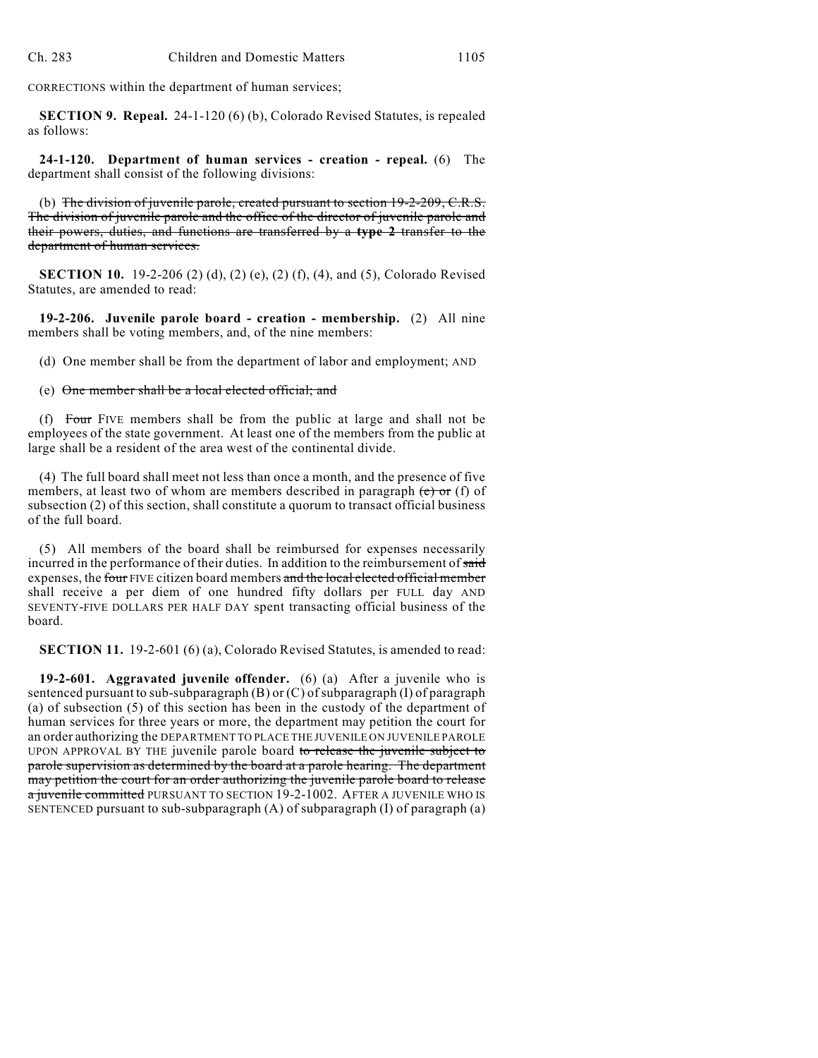CORRECTIONS within the department of human services;

**SECTION 9. Repeal.** 24-1-120 (6) (b), Colorado Revised Statutes, is repealed as follows:

**24-1-120. Department of human services - creation - repeal.** (6) The department shall consist of the following divisions:

(b) The division of juvenile parole, created pursuant to section 19-2-209, C.R.S. The division of juvenile parole and the office of the director of juvenile parole and their powers, duties, and functions are transferred by a **type 2** transfer to the department of human services.

**SECTION 10.** 19-2-206 (2) (d), (2) (e), (2) (f), (4), and (5), Colorado Revised Statutes, are amended to read:

**19-2-206. Juvenile parole board - creation - membership.** (2) All nine members shall be voting members, and, of the nine members:

(d) One member shall be from the department of labor and employment; AND

(e) One member shall be a local elected official; and

(f) Four FIVE members shall be from the public at large and shall not be employees of the state government. At least one of the members from the public at large shall be a resident of the area west of the continental divide.

(4) The full board shall meet not less than once a month, and the presence of five members, at least two of whom are members described in paragraph (e) or (f) of subsection (2) of this section, shall constitute a quorum to transact official business of the full board.

(5) All members of the board shall be reimbursed for expenses necessarily incurred in the performance of their duties. In addition to the reimbursement of said expenses, the four FIVE citizen board members and the local elected official member shall receive a per diem of one hundred fifty dollars per FULL day AND SEVENTY-FIVE DOLLARS PER HALF DAY spent transacting official business of the board.

**SECTION 11.** 19-2-601 (6) (a), Colorado Revised Statutes, is amended to read:

**19-2-601. Aggravated juvenile offender.** (6) (a) After a juvenile who is sentenced pursuant to sub-subparagraph (B) or (C) of subparagraph (I) of paragraph (a) of subsection (5) of this section has been in the custody of the department of human services for three years or more, the department may petition the court for an order authorizing the DEPARTMENT TO PLACE THE JUVENILE ON JUVENILE PAROLE UPON APPROVAL BY THE juvenile parole board to release the juvenile subject to parole supervision as determined by the board at a parole hearing. The department may petition the court for an order authorizing the juvenile parole board to release a juvenile committed PURSUANT TO SECTION 19-2-1002. AFTER A JUVENILE WHO IS SENTENCED pursuant to sub-subparagraph (A) of subparagraph (I) of paragraph (a)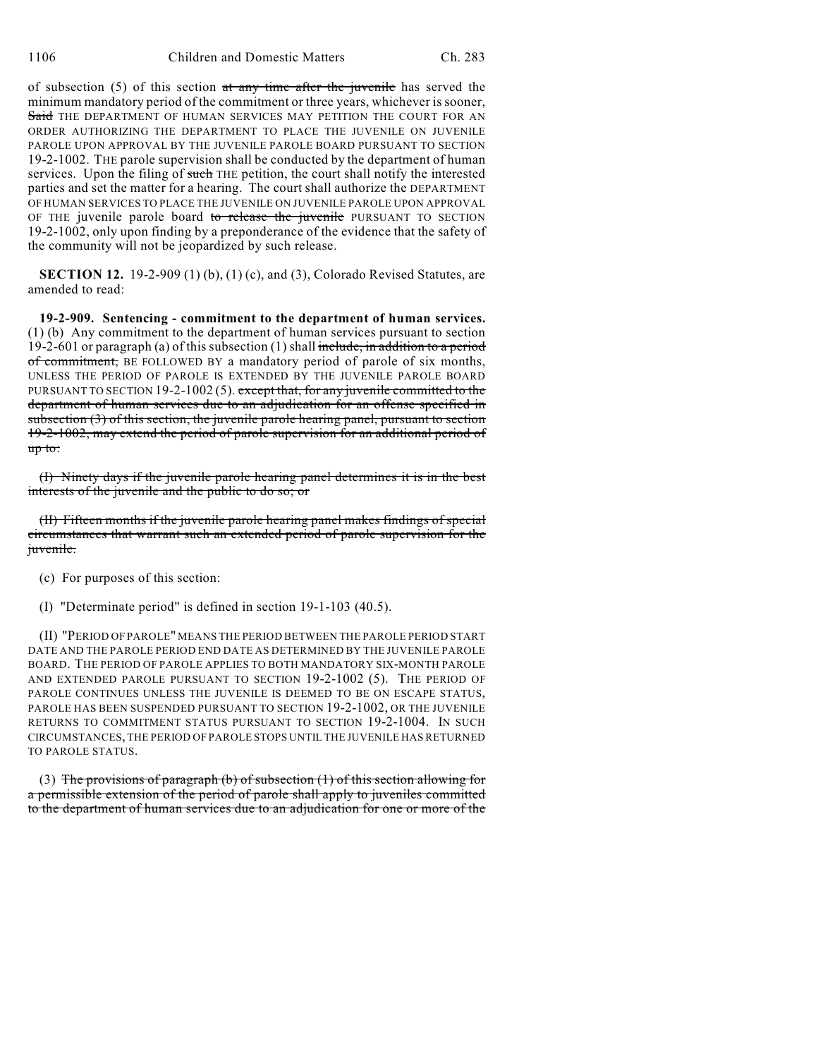of subsection (5) of this section at any time after the juvenile has served the minimum mandatory period of the commitment or three years, whichever is sooner, Said THE DEPARTMENT OF HUMAN SERVICES MAY PETITION THE COURT FOR AN ORDER AUTHORIZING THE DEPARTMENT TO PLACE THE JUVENILE ON JUVENILE PAROLE UPON APPROVAL BY THE JUVENILE PAROLE BOARD PURSUANT TO SECTION 19-2-1002. THE parole supervision shall be conducted by the department of human services. Upon the filing of such THE petition, the court shall notify the interested parties and set the matter for a hearing. The court shall authorize the DEPARTMENT OF HUMAN SERVICES TO PLACE THE JUVENILE ON JUVENILE PAROLE UPON APPROVAL OF THE juvenile parole board to release the juvenile PURSUANT TO SECTION 19-2-1002, only upon finding by a preponderance of the evidence that the safety of the community will not be jeopardized by such release.

**SECTION 12.** 19-2-909 (1) (b), (1) (c), and (3), Colorado Revised Statutes, are amended to read:

**19-2-909. Sentencing - commitment to the department of human services.** (1) (b) Any commitment to the department of human services pursuant to section 19-2-601 or paragraph (a) of this subsection (1) shall include, in addition to a period of commitment, BE FOLLOWED BY a mandatory period of parole of six months, UNLESS THE PERIOD OF PAROLE IS EXTENDED BY THE JUVENILE PAROLE BOARD PURSUANT TO SECTION 19-2-1002 (5). except that, for any juvenile committed to the department of human services due to an adjudication for an offense specified in subsection (3) of this section, the juvenile parole hearing panel, pursuant to section 19-2-1002, may extend the period of parole supervision for an additional period of up to:

(I) Ninety days if the juvenile parole hearing panel determines it is in the best interests of the juvenile and the public to do so; or

(II) Fifteen months if the juvenile parole hearing panel makes findings of special circumstances that warrant such an extended period of parole supervision for the juvenile.

- (c) For purposes of this section:
- (I) "Determinate period" is defined in section 19-1-103 (40.5).

(II) "PERIOD OF PAROLE" MEANS THE PERIOD BETWEEN THE PAROLE PERIOD START DATE AND THE PAROLE PERIOD END DATE AS DETERMINED BY THE JUVENILE PAROLE BOARD. THE PERIOD OF PAROLE APPLIES TO BOTH MANDATORY SIX-MONTH PAROLE AND EXTENDED PAROLE PURSUANT TO SECTION 19-2-1002 (5). THE PERIOD OF PAROLE CONTINUES UNLESS THE JUVENILE IS DEEMED TO BE ON ESCAPE STATUS, PAROLE HAS BEEN SUSPENDED PURSUANT TO SECTION 19-2-1002, OR THE JUVENILE RETURNS TO COMMITMENT STATUS PURSUANT TO SECTION 19-2-1004. IN SUCH CIRCUMSTANCES, THE PERIOD OF PAROLE STOPS UNTIL THE JUVENILE HAS RETURNED TO PAROLE STATUS.

(3) The provisions of paragraph (b) of subsection  $(1)$  of this section allowing for a permissible extension of the period of parole shall apply to juveniles committed to the department of human services due to an adjudication for one or more of the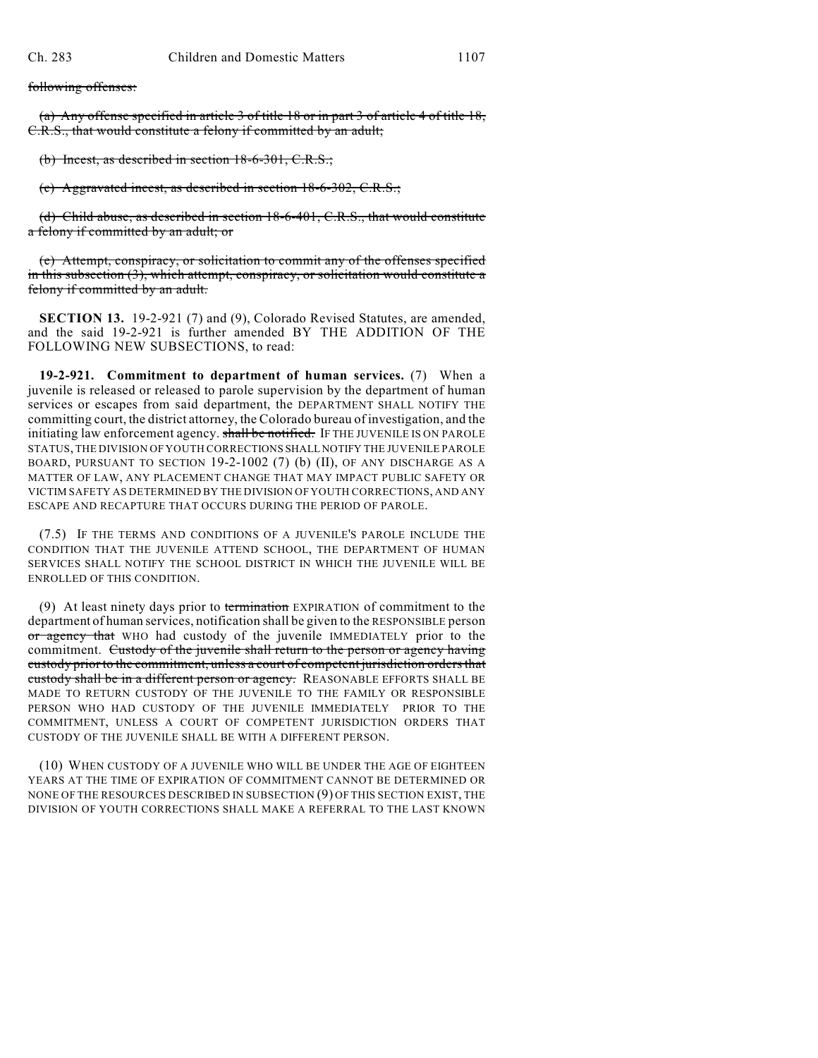following offenses:

(a) Any offense specified in article 3 of title 18 or in part 3 of article 4 of title 18, C.R.S., that would constitute a felony if committed by an adult;

(b) Incest, as described in section 18-6-301, C.R.S.;

(c) Aggravated incest, as described in section 18-6-302, C.R.S.;

(d) Child abuse, as described in section 18-6-401, C.R.S., that would constitute a felony if committed by an adult; or

(e) Attempt, conspiracy, or solicitation to commit any of the offenses specified in this subsection (3), which attempt, conspiracy, or solicitation would constitute a felony if committed by an adult.

**SECTION 13.** 19-2-921 (7) and (9), Colorado Revised Statutes, are amended, and the said 19-2-921 is further amended BY THE ADDITION OF THE FOLLOWING NEW SUBSECTIONS, to read:

**19-2-921. Commitment to department of human services.** (7) When a juvenile is released or released to parole supervision by the department of human services or escapes from said department, the DEPARTMENT SHALL NOTIFY THE committing court, the district attorney, the Colorado bureau of investigation, and the initiating law enforcement agency. shall be notified. IF THE JUVENILE IS ON PAROLE STATUS, THE DIVISION OF YOUTH CORRECTIONS SHALL NOTIFY THE JUVENILE PAROLE BOARD, PURSUANT TO SECTION 19-2-1002 (7) (b) (II), OF ANY DISCHARGE AS A MATTER OF LAW, ANY PLACEMENT CHANGE THAT MAY IMPACT PUBLIC SAFETY OR VICTIM SAFETY AS DETERMINED BY THE DIVISION OFYOUTH CORRECTIONS, AND ANY ESCAPE AND RECAPTURE THAT OCCURS DURING THE PERIOD OF PAROLE.

(7.5) IF THE TERMS AND CONDITIONS OF A JUVENILE'S PAROLE INCLUDE THE CONDITION THAT THE JUVENILE ATTEND SCHOOL, THE DEPARTMENT OF HUMAN SERVICES SHALL NOTIFY THE SCHOOL DISTRICT IN WHICH THE JUVENILE WILL BE ENROLLED OF THIS CONDITION.

(9) At least ninety days prior to termination EXPIRATION of commitment to the department of human services, notification shall be given to the RESPONSIBLE person or agency that WHO had custody of the juvenile IMMEDIATELY prior to the commitment. Custody of the juvenile shall return to the person or agency having custody prior to the commitment, unless a court of competent jurisdiction orders that custody shall be in a different person or agency. REASONABLE EFFORTS SHALL BE MADE TO RETURN CUSTODY OF THE JUVENILE TO THE FAMILY OR RESPONSIBLE PERSON WHO HAD CUSTODY OF THE JUVENILE IMMEDIATELY PRIOR TO THE COMMITMENT, UNLESS A COURT OF COMPETENT JURISDICTION ORDERS THAT CUSTODY OF THE JUVENILE SHALL BE WITH A DIFFERENT PERSON.

(10) WHEN CUSTODY OF A JUVENILE WHO WILL BE UNDER THE AGE OF EIGHTEEN YEARS AT THE TIME OF EXPIRATION OF COMMITMENT CANNOT BE DETERMINED OR NONE OF THE RESOURCES DESCRIBED IN SUBSECTION (9) OF THIS SECTION EXIST, THE DIVISION OF YOUTH CORRECTIONS SHALL MAKE A REFERRAL TO THE LAST KNOWN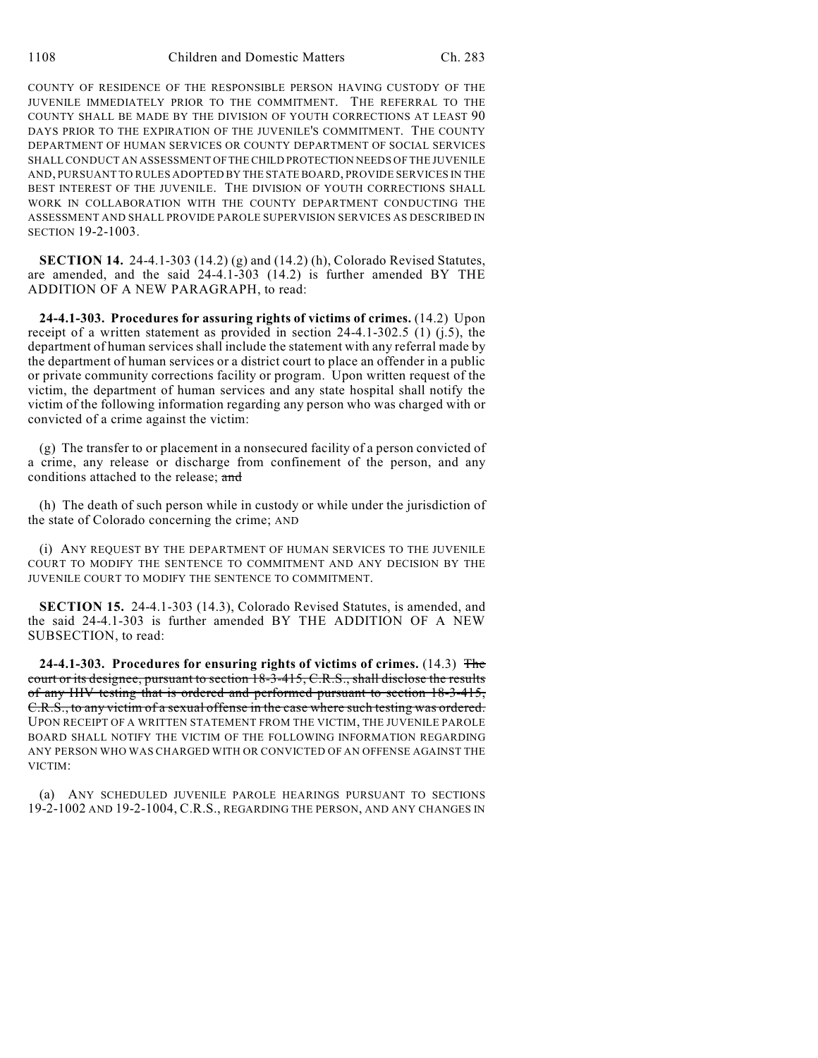COUNTY OF RESIDENCE OF THE RESPONSIBLE PERSON HAVING CUSTODY OF THE JUVENILE IMMEDIATELY PRIOR TO THE COMMITMENT. THE REFERRAL TO THE COUNTY SHALL BE MADE BY THE DIVISION OF YOUTH CORRECTIONS AT LEAST 90 DAYS PRIOR TO THE EXPIRATION OF THE JUVENILE'S COMMITMENT. THE COUNTY DEPARTMENT OF HUMAN SERVICES OR COUNTY DEPARTMENT OF SOCIAL SERVICES SHALL CONDUCT AN ASSESSMENT OF THE CHILD PROTECTION NEEDS OF THE JUVENILE AND, PURSUANT TO RULES ADOPTED BY THE STATE BOARD, PROVIDE SERVICES IN THE BEST INTEREST OF THE JUVENILE. THE DIVISION OF YOUTH CORRECTIONS SHALL WORK IN COLLABORATION WITH THE COUNTY DEPARTMENT CONDUCTING THE ASSESSMENT AND SHALL PROVIDE PAROLE SUPERVISION SERVICES AS DESCRIBED IN SECTION 19-2-1003.

**SECTION 14.** 24-4.1-303 (14.2) (g) and (14.2) (h), Colorado Revised Statutes, are amended, and the said 24-4.1-303 (14.2) is further amended BY THE ADDITION OF A NEW PARAGRAPH, to read:

**24-4.1-303. Procedures for assuring rights of victims of crimes.** (14.2) Upon receipt of a written statement as provided in section 24-4.1-302.5 (1) (j.5), the department of human services shall include the statement with any referral made by the department of human services or a district court to place an offender in a public or private community corrections facility or program. Upon written request of the victim, the department of human services and any state hospital shall notify the victim of the following information regarding any person who was charged with or convicted of a crime against the victim:

(g) The transfer to or placement in a nonsecured facility of a person convicted of a crime, any release or discharge from confinement of the person, and any conditions attached to the release; and

(h) The death of such person while in custody or while under the jurisdiction of the state of Colorado concerning the crime; AND

(i) ANY REQUEST BY THE DEPARTMENT OF HUMAN SERVICES TO THE JUVENILE COURT TO MODIFY THE SENTENCE TO COMMITMENT AND ANY DECISION BY THE JUVENILE COURT TO MODIFY THE SENTENCE TO COMMITMENT.

**SECTION 15.** 24-4.1-303 (14.3), Colorado Revised Statutes, is amended, and the said 24-4.1-303 is further amended BY THE ADDITION OF A NEW SUBSECTION, to read:

**24-4.1-303. Procedures for ensuring rights of victims of crimes.** (14.3) The court or its designee, pursuant to section 18-3-415, C.R.S., shall disclose the results of any HIV testing that is ordered and performed pursuant to section 18-3-415, C.R.S., to any victim of a sexual offense in the case where such testing was ordered. UPON RECEIPT OF A WRITTEN STATEMENT FROM THE VICTIM, THE JUVENILE PAROLE BOARD SHALL NOTIFY THE VICTIM OF THE FOLLOWING INFORMATION REGARDING ANY PERSON WHO WAS CHARGED WITH OR CONVICTED OF AN OFFENSE AGAINST THE VICTIM:

(a) ANY SCHEDULED JUVENILE PAROLE HEARINGS PURSUANT TO SECTIONS 19-2-1002 AND 19-2-1004, C.R.S., REGARDING THE PERSON, AND ANY CHANGES IN